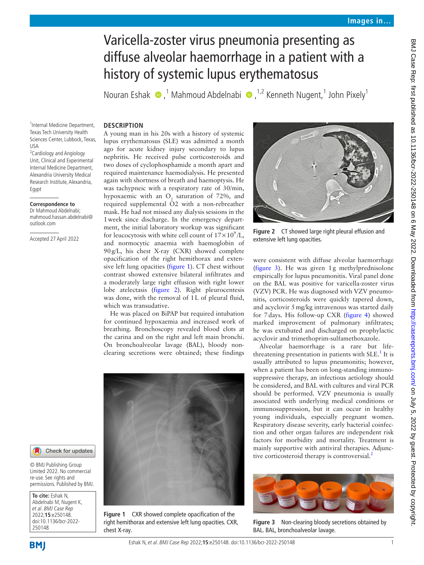# Varicella-zoster virus pneumonia presenting as diffuse alveolar haemorrhage in a patient with a history of systemic lupus erythematosus

NouranEshak  $\bullet$ ,<sup>1</sup> Mahmoud Abdelnabi  $\bullet$ ,<sup>1,2</sup> Kenneth Nugent,<sup>1</sup> John Pixely<sup>1</sup>

## **DESCRIPTION**

1 Internal Medicine Department, Texas Tech University Health Sciences Center, Lubbock, Texas, USA

<sup>2</sup> Cardiology and Angiology Unit, Clinical and Experimental Internal Medicine Department, Alexandria University Medical Research Institute, Alexandria, Egypt

## **Correspondence to**

Dr Mahmoud Abdelnabi; mahmoud.hassan.abdelnabi@ outlook.com

Accepted 27 April 2022

A young man in his 20s with a history of systemic lupus erythematosus (SLE) was admitted a month ago for acute kidney injury secondary to lupus nephritis. He received pulse corticosteroids and two doses of cyclophosphamide a month apart and required maintenance haemodialysis. He presented again with shortness of breath and haemoptysis. He was tachypneic with a respiratory rate of 30/min, hypoxaemic with an  $O_2$  saturation of 72%, and required supplemental O2 with a non-rebreather mask. He had not missed any dialysis sessions in the 1week since discharge. In the emergency department, the initial laboratory workup was significant for leucocytosis with white cell count of  $17 \times 10^9$ /L, and normocytic anaemia with haemoglobin of 90g/L, his chest X-ray (CXR) showed complete opacification of the right hemithorax and extensive left lung opacities [\(figure](#page-0-0) 1). CT chest without contrast showed extensive bilateral infiltrates and a moderately large right effusion with right lower lobe atelectasis ([figure](#page-0-1) 2). Right pleurocentesis was done, with the removal of 1L of pleural fluid, which was transudative.

He was placed on BiPAP but required intubation for continued hypoxaemia and increased work of breathing. Bronchoscopy revealed blood clots at the carina and on the right and left main bronchi. On bronchoalveolar lavage (BAL), bloody nonclearing secretions were obtained; these findings



**Figure 1** CXR showed complete opacification of the right hemithorax and extensive left lung opacities. CXR, chest X-ray.



**Figure 2** CT showed large right pleural effusion and extensive left lung opacities.

<span id="page-0-1"></span>were consistent with diffuse alveolar haemorrhage ([figure](#page-0-2) 3). He was given 1g methylprednisolone empirically for lupus pneumonitis. Viral panel done on the BAL was positive for varicella-zoster virus (VZV) PCR. He was diagnosed with VZV pneumonitis, corticosteroids were quickly tapered down, and acyclovir 5mg/kg intravenous was started daily for 7days. His follow-up CXR ([figure](#page-1-0) 4) showed marked improvement of pulmonary infiltrates; he was extubated and discharged on prophylactic acyclovir and trimethoprim-sulfamethoxazole.

Alveolar haemorrhage is a rare but life-threatening presentation in patients with SLE.<sup>[1](#page-1-1)</sup> It is usually attributed to lupus pneumonitis; however, when a patient has been on long-standing immunosuppressive therapy, an infectious aetiology should be considered, and BAL with cultures and viral PCR should be performed. VZV pneumonia is usually associated with underlying medical conditions or immunosuppression, but it can occur in healthy young individuals, especially pregnant women. Respiratory disease severity, early bacterial coinfection and other organ failures are independent risk factors for morbidity and mortality. Treatment is mainly supportive with antiviral therapies. Adjunc-tive corticosteroid therapy is controversial.<sup>[2](#page-1-2)</sup>

<span id="page-0-2"></span>

**Figure 3** Non-clearing bloody secretions obtained by BAL. BAL, bronchoalveolar lavage.



250148

<span id="page-0-0"></span>**To cite:** Eshak N, Abdelnabi M, Nugent K, et al. BMJ Case Rep 2022;**15**:e250148. doi:10.1136/bcr-2022-

© BMJ Publishing Group Limited 2022. No commercial re-use. See rights and permissions. Published by BMJ.

Check for updates